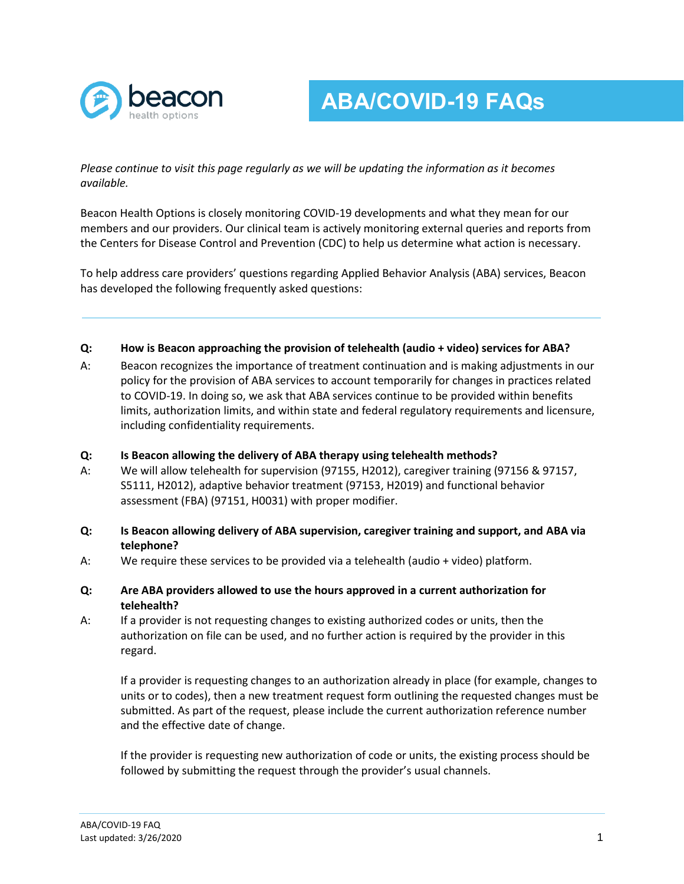

**ABA/COVID-19 FAQs**

*Please continue to visit this page regularly as we will be updating the information as it becomes available.*

Beacon Health Options is closely monitoring COVID-19 developments and what they mean for our members and our providers. Our clinical team is actively monitoring external queries and reports from the Centers for Disease Control and Prevention (CDC) to help us determine what action is necessary.

To help address care providers' questions regarding Applied Behavior Analysis (ABA) services, Beacon has developed the following frequently asked questions:

## **Q: How is Beacon approaching the provision of telehealth (audio + video) services for ABA?**

A: Beacon recognizes the importance of treatment continuation and is making adjustments in our policy for the provision of ABA services to account temporarily for changes in practices related to COVID-19. In doing so, we ask that ABA services continue to be provided within benefits limits, authorization limits, and within state and federal regulatory requirements and licensure, including confidentiality requirements.

## **Q: Is Beacon allowing the delivery of ABA therapy using telehealth methods?**

- A: We will allow telehealth for supervision (97155, H2012), caregiver training (97156 & 97157, S5111, H2012), adaptive behavior treatment (97153, H2019) and functional behavior assessment (FBA) (97151, H0031) with proper modifier.
- **Q: Is Beacon allowing delivery of ABA supervision, caregiver training and support, and ABA via telephone?**
- A: We require these services to be provided via a telehealth (audio + video) platform.
- **Q: Are ABA providers allowed to use the hours approved in a current authorization for telehealth?**
- A: If a provider is not requesting changes to existing authorized codes or units, then the authorization on file can be used, and no further action is required by the provider in this regard.

If a provider is requesting changes to an authorization already in place (for example, changes to units or to codes), then a new treatment request form outlining the requested changes must be submitted. As part of the request, please include the current authorization reference number and the effective date of change.

If the provider is requesting new authorization of code or units, the existing process should be followed by submitting the request through the provider's usual channels.